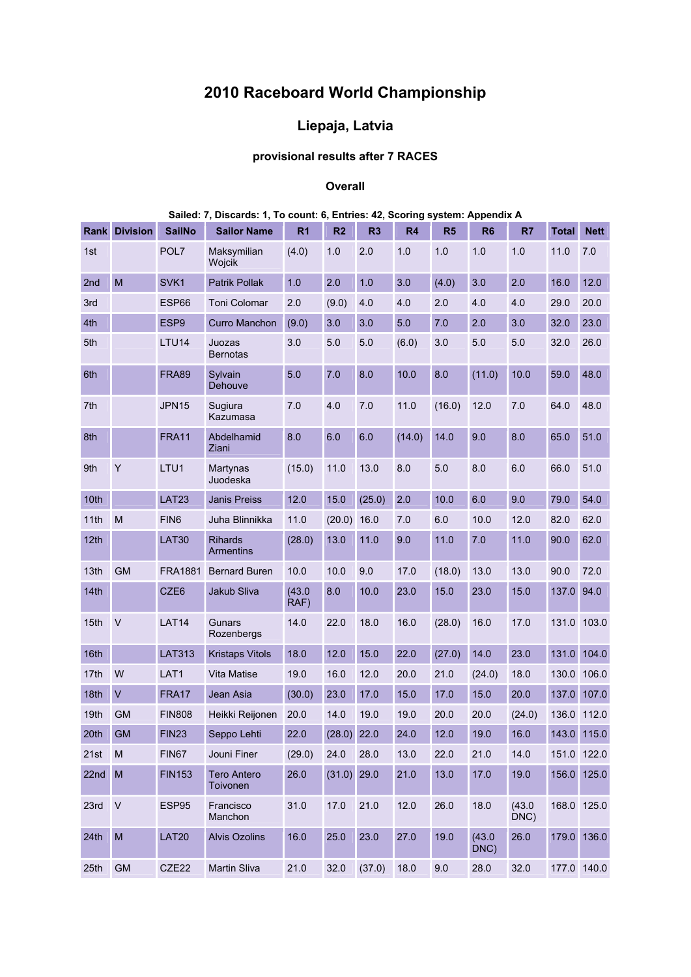# **2010 Raceboard World Championship**

## **Liepaja, Latvia**

## **provisional results after 7 RACES**

#### **Overall**

|                  |                                                                                                            |                  | Discarus. I, I                     | count. o,      |                | Lillies. 44, Juliuly |        | 5y5            |                |                |              |             |
|------------------|------------------------------------------------------------------------------------------------------------|------------------|------------------------------------|----------------|----------------|----------------------|--------|----------------|----------------|----------------|--------------|-------------|
|                  | <b>Rank Division</b>                                                                                       | <b>SailNo</b>    | <b>Sailor Name</b>                 | R <sub>1</sub> | R <sub>2</sub> | R <sub>3</sub>       | R4     | R <sub>5</sub> | R <sub>6</sub> | R7             | <b>Total</b> | <b>Nett</b> |
| 1st              |                                                                                                            | POL7             | Maksymilian<br>Wojcik              | (4.0)          | 1.0            | 2.0                  | 1.0    | 1.0            | 1.0            | 1.0            | 11.0         | 7.0         |
| 2nd              | M                                                                                                          | SVK1             | Patrik Pollak                      | 1.0            | 2.0            | 1.0                  | 3.0    | (4.0)          | 3.0            | 2.0            | 16.0         | 12.0        |
| 3rd              |                                                                                                            | ESP66            | <b>Toni Colomar</b>                | 2.0            | (9.0)          | 4.0                  | 4.0    | 2.0            | 4.0            | 4.0            | 29.0         | 20.0        |
| 4th              |                                                                                                            | ESP9             | <b>Curro Manchon</b>               | (9.0)          | 3.0            | 3.0                  | 5.0    | 7.0            | 2.0            | 3.0            | 32.0         | 23.0        |
| 5th              |                                                                                                            | LTU14            | Juozas<br><b>Bernotas</b>          | 3.0            | 5.0            | 5.0                  | (6.0)  | 3.0            | 5.0            | 5.0            | 32.0         | 26.0        |
| 6th              |                                                                                                            | <b>FRA89</b>     | Sylvain<br>Dehouve                 | 5.0            | 7.0            | 8.0                  | 10.0   | 8.0            | (11.0)         | 10.0           | 59.0         | 48.0        |
| 7th              |                                                                                                            | <b>JPN15</b>     | Sugiura<br>Kazumasa                | 7.0            | 4.0            | 7.0                  | 11.0   | (16.0)         | 12.0           | 7.0            | 64.0         | 48.0        |
| 8th              |                                                                                                            | <b>FRA11</b>     | Abdelhamid<br>Ziani                | 8.0            | 6.0            | 6.0                  | (14.0) | 14.0           | 9.0            | 8.0            | 65.0         | 51.0        |
| 9th              | Y                                                                                                          | LTU1             | Martynas<br>Juodeska               | (15.0)         | 11.0           | 13.0                 | 8.0    | 5.0            | 8.0            | 6.0            | 66.0         | 51.0        |
| 10th             |                                                                                                            | LAT23            | <b>Janis Preiss</b>                | 12.0           | 15.0           | (25.0)               | 2.0    | 10.0           | 6.0            | 9.0            | 79.0         | 54.0        |
| 11th             | M                                                                                                          | FIN <sub>6</sub> | Juha Blinnikka                     | 11.0           | (20.0)         | 16.0                 | 7.0    | 6.0            | 10.0           | 12.0           | 82.0         | 62.0        |
| 12th             |                                                                                                            | <b>LAT30</b>     | <b>Rihards</b><br><b>Armentins</b> | (28.0)         | 13.0           | 11.0                 | 9.0    | 11.0           | 7.0            | 11.0           | 90.0         | 62.0        |
| 13th             | <b>GM</b>                                                                                                  | <b>FRA1881</b>   | <b>Bernard Buren</b>               | 10.0           | 10.0           | 9.0                  | 17.0   | (18.0)         | 13.0           | 13.0           | 90.0         | 72.0        |
| 14 <sub>th</sub> |                                                                                                            | CZE6             | Jakub Sliva                        | (43.0)<br>RAF) | 8.0            | 10.0                 | 23.0   | 15.0           | 23.0           | 15.0           | 137.0        | 94.0        |
| 15th             | $\vee$                                                                                                     | LAT14            | Gunars<br>Rozenbergs               | 14.0           | 22.0           | 18.0                 | 16.0   | (28.0)         | 16.0           | 17.0           | 131.0        | 103.0       |
| 16th             |                                                                                                            | <b>LAT313</b>    | <b>Kristaps Vitols</b>             | 18.0           | 12.0           | 15.0                 | 22.0   | (27.0)         | 14.0           | 23.0           | 131.0        | 104.0       |
| 17th             | W                                                                                                          | LAT1             | Vita Matise                        | 19.0           | 16.0           | 12.0                 | 20.0   | 21.0           | (24.0)         | 18.0           | 130.0        | 106.0       |
| 18th             | $\vee$                                                                                                     | FRA17            | Jean Asia                          | (30.0)         | 23.0           | 17.0                 | 15.0   | 17.0           | 15.0           | 20.0           | 137.0        | 107.0       |
| 19th             | <b>GM</b>                                                                                                  | <b>FIN808</b>    | Heikki Reijonen                    | 20.0           | 14.0           | 19.0                 | 19.0   | 20.0           | 20.0           | (24.0)         | 136.0        | 112.0       |
| 20th             | <b>GM</b>                                                                                                  | FIN23            | Seppo Lehti                        | 22.0           | (28.0)         | 22.0                 | 24.0   | 12.0           | 19.0           | $16.0$         |              | 143.0 115.0 |
| 21st             | M                                                                                                          | <b>FIN67</b>     | Jouni Finer                        | (29.0)         | 24.0           | 28.0                 | 13.0   | 22.0           | 21.0           | 14.0           |              | 151.0 122.0 |
| 22nd             | M                                                                                                          | <b>FIN153</b>    | <b>Tero Antero</b><br>Toivonen     | 26.0           | $(31.0)$ 29.0  |                      | 21.0   | 13.0           | 17.0           | 19.0           |              | 156.0 125.0 |
| 23rd             | $\vee$                                                                                                     | ESP95            | Francisco<br>Manchon               | 31.0           | 17.0           | 21.0                 | 12.0   | 26.0           | 18.0           | (43.0)<br>DNC) |              | 168.0 125.0 |
| 24th             | $\mathsf{M}% _{T}=\mathsf{M}_{T}\!\left( a,b\right) ,\ \mathsf{M}_{T}=\mathsf{M}_{T}\!\left( a,b\right) ,$ | <b>LAT20</b>     | <b>Alvis Ozolins</b>               | 16.0           | 25.0           | 23.0                 | 27.0   | 19.0           | (43.0)<br>DNC) | 26.0           |              | 179.0 136.0 |
| 25th             | GM                                                                                                         | CZE22            | Martin Sliva                       | 21.0           | 32.0           | $(37.0)$ 18.0        |        | 9.0            | 28.0           | 32.0           |              | 177.0 140.0 |

### **Sailed: 7, Discards: 1, To count: 6, Entries: 42, Scoring system: Appendix A**